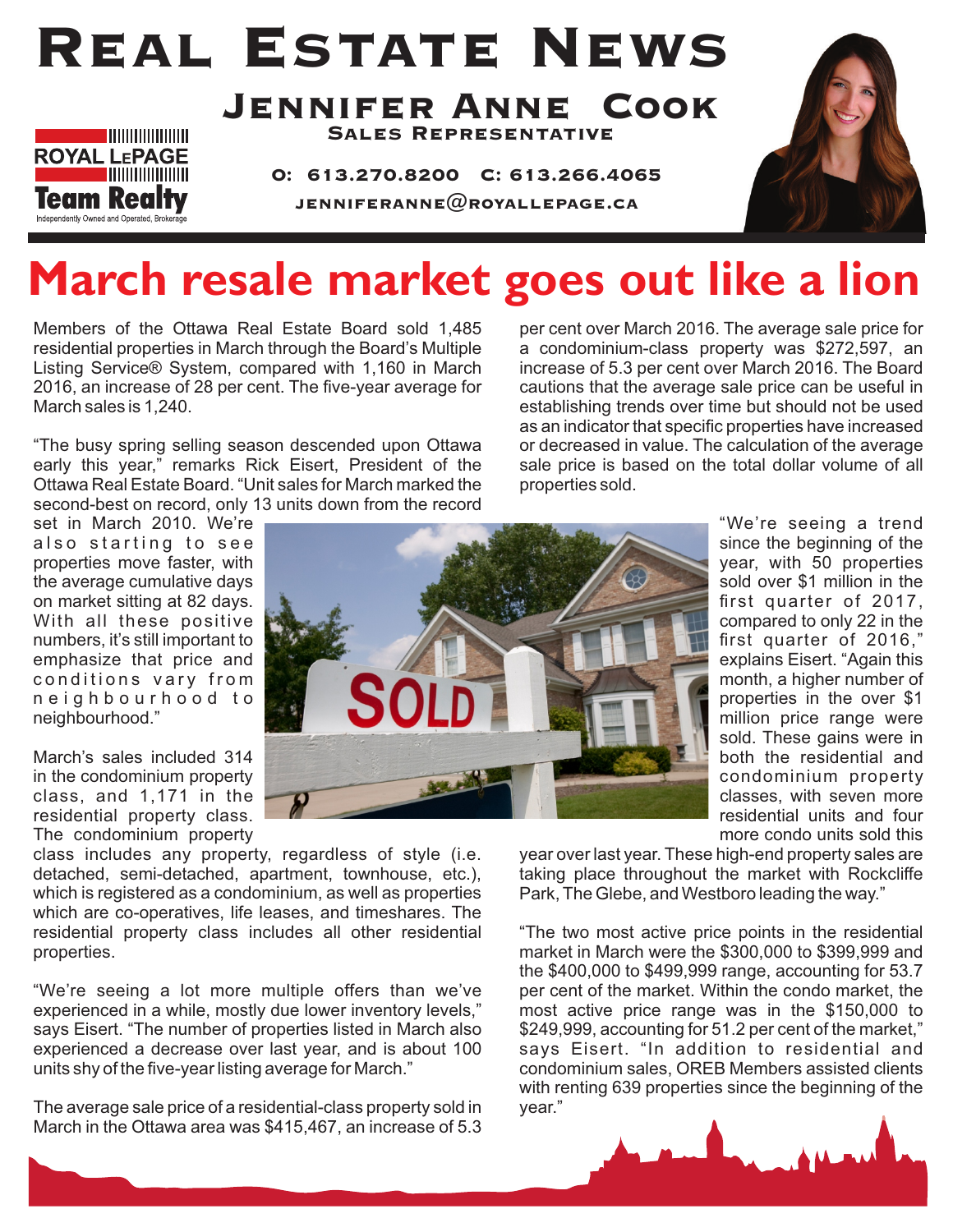# Real Estate News



Jennifer Anne Cook Sales Representative

O: 613.270.8200 C: 613.266.4065 JENNIFERANNE $@$ ROYALLEPAGE.CA



## **March resale market goes out like a lion**

Members of the Ottawa Real Estate Board sold 1,485 residential properties in March through the Board's Multiple Listing Service® System, compared with 1,160 in March 2016, an increase of 28 per cent. The five-year average for March sales is 1,240.

"The busy spring selling season descended upon Ottawa early this year," remarks Rick Eisert, President of the Ottawa Real Estate Board. "Unit sales for March marked the second-best on record, only 13 units down from the record per cent over March 2016. The average sale price for a condominium-class property was \$272,597, an increase of 5.3 per cent over March 2016. The Board cautions that the average sale price can be useful in establishing trends over time but should not be used as an indicator that specific properties have increased or decreased in value. The calculation of the average sale price is based on the total dollar volume of all properties sold.

set in March 2010. We're also starting to see properties move faster, with the average cumulative days on market sitting at 82 days. With all these positive numbers, it's still important to emphasize that price and conditions vary from n e i g h b o u r h o o d t o neighbourhood."

March's sales included 314 in the condominium property class, and 1,171 in the residential property class. The condominium property

class includes any property, regardless of style (i.e. detached, semi-detached, apartment, townhouse, etc.), which is registered as a condominium, as well as properties which are co-operatives, life leases, and timeshares. The residential property class includes all other residential properties.

"We're seeing a lot more multiple offers than we've experienced in a while, mostly due lower inventory levels," says Eisert. "The number of properties listed in March also experienced a decrease over last year, and is about 100 units shy of the five-year listing average for March."

The average sale price of a residential-class property sold in March in the Ottawa area was \$415,467, an increase of 5.3



"We're seeing a trend since the beginning of the year, with 50 properties sold over \$1 million in the first quarter of 2017, compared to only 22 in the first quarter of 2016," explains Eisert. "Again this month, a higher number of properties in the over \$1 million price range were sold. These gains were in both the residential and condominium property classes, with seven more residential units and four more condo units sold this

year over last year. These high-end property sales are taking place throughout the market with Rockcliffe Park, The Glebe, and Westboro leading the way."

"The two most active price points in the residential market in March were the \$300,000 to \$399,999 and the \$400,000 to \$499,999 range, accounting for 53.7 per cent of the market. Within the condo market, the most active price range was in the \$150,000 to \$249,999, accounting for 51.2 per cent of the market," says Eisert. "In addition to residential and condominium sales, OREB Members assisted clients with renting 639 properties since the beginning of the year."